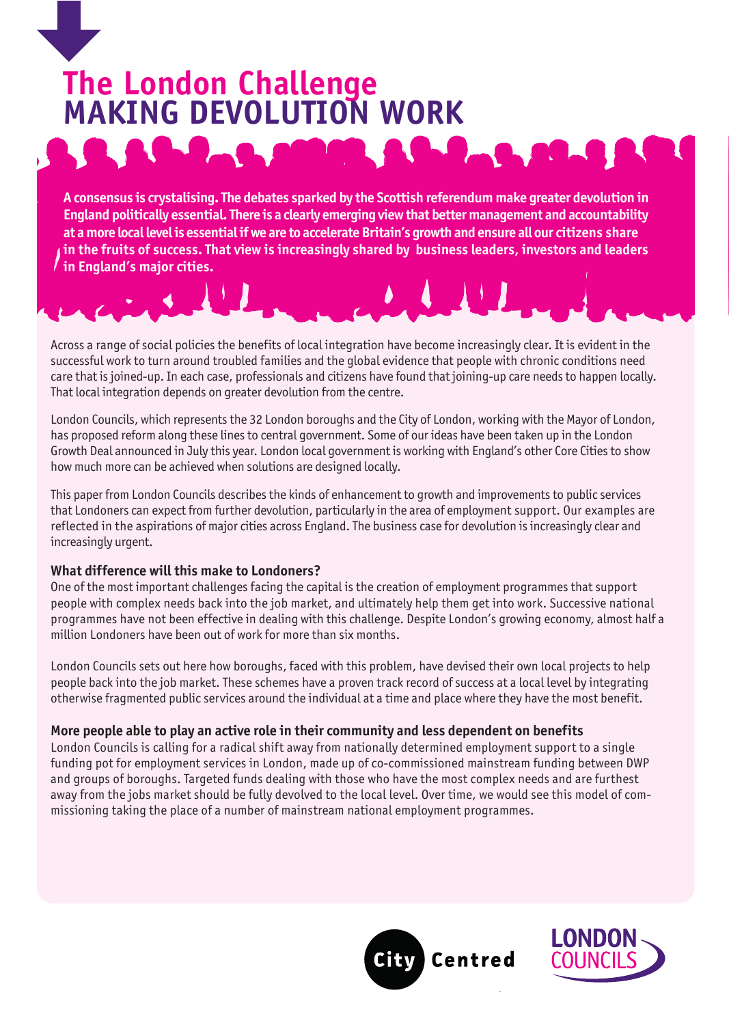# **The London Challenge MAKING DEVOLUTION WORK**

**A consensus is crystalising. The debates sparked by the Scottish referendum make greater devolution in England politically essential. There is a clearly emerging view that better management and accountability at a more local level is essential if we are to accelerate Britain's growth and ensure all our citizens share in the fruits of success. That view is increasingly shared by business leaders, investors and leaders in England's major cities.**

Across a range of social policies the benefits of local integration have become increasingly clear. It is evident in the successful work to turn around troubled families and the global evidence that people with chronic conditions need care that is joined-up. In each case, professionals and citizens have found that joining-up care needs to happen locally. That local integration depends on greater devolution from the centre.

London Councils, which represents the 32 London boroughs and the City of London, working with the Mayor of London, has proposed reform along these lines to central government. Some of our ideas have been taken up in the London Growth Deal announced in July this year. London local government is working with England's other Core Cities to show how much more can be achieved when solutions are designed locally.

This paper from London Councils describes the kinds of enhancement to growth and improvements to public services that Londoners can expect from further devolution, particularly in the area of employment support. Our examples are reflected in the aspirations of major cities across England. The business case for devolution is increasingly clear and increasingly urgent.

#### **What difference will this make to Londoners?**

One of the most important challenges facing the capital is the creation of employment programmes that support people with complex needs back into the job market, and ultimately help them get into work. Successive national programmes have not been effective in dealing with this challenge. Despite London's growing economy, almost half a million Londoners have been out of work for more than six months.

London Councils sets out here how boroughs, faced with this problem, have devised their own local projects to help people back into the job market. These schemes have a proven track record of success at a local level by integrating otherwise fragmented public services around the individual at a time and place where they have the most benefit.

#### **More people able to play an active role in their community and less dependent on benefits**

London Councils is calling for a radical shift away from nationally determined employment support to a single funding pot for employment services in London, made up of co-commissioned mainstream funding between DWP and groups of boroughs. Targeted funds dealing with those who have the most complex needs and are furthest away from the jobs market should be fully devolved to the local level. Over time, we would see this model of commissioning taking the place of a number of mainstream national employment programmes.



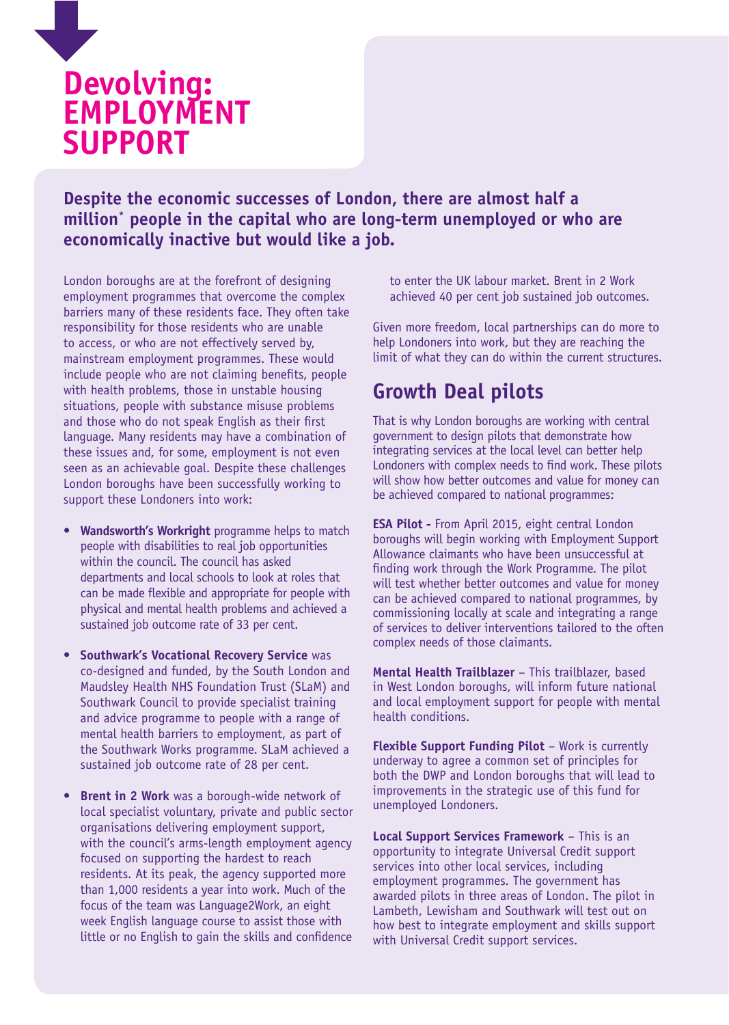

**Despite the economic successes of London, there are almost half a million\* people in the capital who are long-term unemployed or who are economically inactive but would like a job.**

London boroughs are at the forefront of designing employment programmes that overcome the complex barriers many of these residents face. They often take responsibility for those residents who are unable to access, or who are not effectively served by, mainstream employment programmes. These would include people who are not claiming benefits, people with health problems, those in unstable housing situations, people with substance misuse problems and those who do not speak English as their first language. Many residents may have a combination of these issues and, for some, employment is not even seen as an achievable goal. Despite these challenges London boroughs have been successfully working to support these Londoners into work:

- **• Wandsworth's Workright** programme helps to match people with disabilities to real job opportunities within the council. The council has asked departments and local schools to look at roles that can be made flexible and appropriate for people with physical and mental health problems and achieved a sustained job outcome rate of 33 per cent.
- **• Southwark's Vocational Recovery Service** was co-designed and funded, by the South London and Maudsley Health NHS Foundation Trust (SLaM) and Southwark Council to provide specialist training and advice programme to people with a range of mental health barriers to employment, as part of the Southwark Works programme. SLaM achieved a sustained job outcome rate of 28 per cent.
- **Brent in 2 Work** was a borough-wide network of local specialist voluntary, private and public sector organisations delivering employment support, with the council's arms-length employment agency focused on supporting the hardest to reach residents. At its peak, the agency supported more than 1,000 residents a year into work. Much of the focus of the team was Language2Work, an eight week English language course to assist those with little or no English to gain the skills and confidence

to enter the UK labour market. Brent in 2 Work achieved 40 per cent job sustained job outcomes.

Given more freedom, local partnerships can do more to help Londoners into work, but they are reaching the limit of what they can do within the current structures.

## **Growth Deal pilots**

That is why London boroughs are working with central government to design pilots that demonstrate how integrating services at the local level can better help Londoners with complex needs to find work. These pilots will show how better outcomes and value for money can be achieved compared to national programmes:

**ESA Pilot -** From April 2015, eight central London boroughs will begin working with Employment Support Allowance claimants who have been unsuccessful at finding work through the Work Programme. The pilot will test whether better outcomes and value for money can be achieved compared to national programmes, by commissioning locally at scale and integrating a range of services to deliver interventions tailored to the often complex needs of those claimants.

**Mental Health Trailblazer** – This trailblazer, based in West London boroughs, will inform future national and local employment support for people with mental health conditions.

**Flexible Support Funding Pilot** – Work is currently underway to agree a common set of principles for both the DWP and London boroughs that will lead to improvements in the strategic use of this fund for unemployed Londoners.

**Local Support Services Framework** – This is an opportunity to integrate Universal Credit support services into other local services, including employment programmes. The government has awarded pilots in three areas of London. The pilot in Lambeth, Lewisham and Southwark will test out on how best to integrate employment and skills support with Universal Credit support services.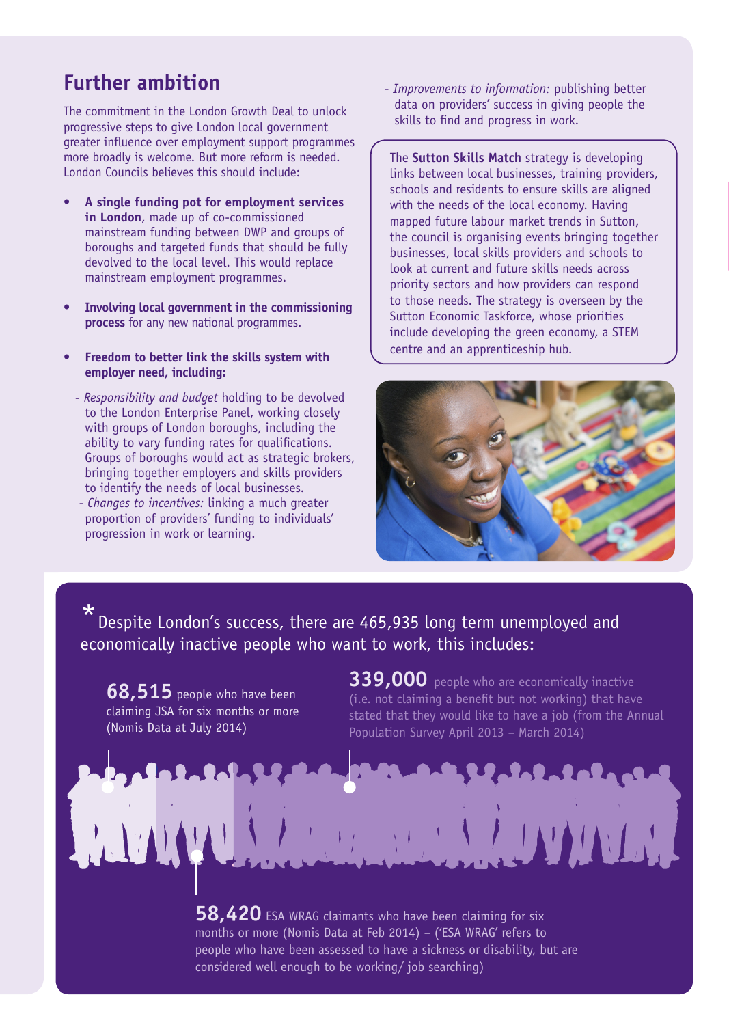# **Further ambition**

The commitment in the London Growth Deal to unlock progressive steps to give London local government greater influence over employment support programmes more broadly is welcome. But more reform is needed. London Councils believes this should include:

- **• A single funding pot for employment services in London**, made up of co-commissioned mainstream funding between DWP and groups of boroughs and targeted funds that should be fully devolved to the local level. This would replace mainstream employment programmes.
- **• Involving local government in the commissioning process** for any new national programmes.
- **• Freedom to better link the skills system with employer need, including:**
	- *Responsibility and budget* holding to be devolved to the London Enterprise Panel, working closely with groups of London boroughs, including the ability to vary funding rates for qualifications. Groups of boroughs would act as strategic brokers, bringing together employers and skills providers to identify the needs of local businesses.
	- *Changes to incentives:* linking a much greater proportion of providers' funding to individuals' progression in work or learning.

 - *Improvements to information:* publishing better data on providers' success in giving people the skills to find and progress in work.

The **Sutton Skills Match** strategy is developing links between local businesses, training providers, schools and residents to ensure skills are aligned with the needs of the local economy. Having mapped future labour market trends in Sutton, the council is organising events bringing together businesses, local skills providers and schools to look at current and future skills needs across priority sectors and how providers can respond to those needs. The strategy is overseen by the Sutton Economic Taskforce, whose priorities include developing the green economy, a STEM centre and an apprenticeship hub.



Despite London's success, there are 465,935 long term unemployed and economically inactive people who want to work, this includes:

**68,515** people who have been claiming JSA for six months or more (Nomis Data at July 2014)

**339,000** people who are economically inactive (i.e. not claiming a benefit but not working) that have stated that they would like to have a job (from the Annual Population Survey April 2013 – March 2014)

**58,420** ESA WRAG claimants who have been claiming for six months or more (Nomis Data at Feb 2014) – ('ESA WRAG' refers to people who have been assessed to have a sickness or disability, but are considered well enough to be working/ job searching)